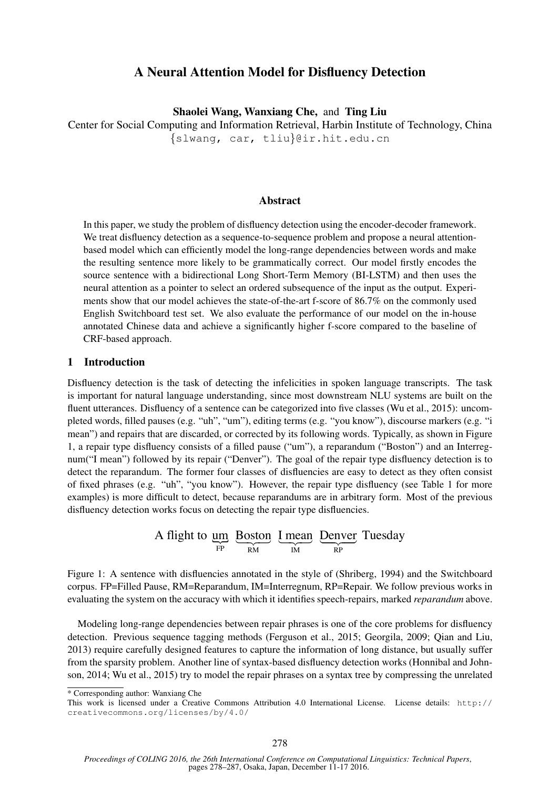# A Neural Attention Model for Disfluency Detection

Shaolei Wang, Wanxiang Che, and Ting Liu

Center for Social Computing and Information Retrieval, Harbin Institute of Technology, China {slwang, car, tliu}@ir.hit.edu.cn

## Abstract

In this paper, we study the problem of disfluency detection using the encoder-decoder framework. We treat disfluency detection as a sequence-to-sequence problem and propose a neural attentionbased model which can efficiently model the long-range dependencies between words and make the resulting sentence more likely to be grammatically correct. Our model firstly encodes the source sentence with a bidirectional Long Short-Term Memory (BI-LSTM) and then uses the neural attention as a pointer to select an ordered subsequence of the input as the output. Experiments show that our model achieves the state-of-the-art f-score of 86.7% on the commonly used English Switchboard test set. We also evaluate the performance of our model on the in-house annotated Chinese data and achieve a significantly higher f-score compared to the baseline of CRF-based approach.

## 1 Introduction

Disfluency detection is the task of detecting the infelicities in spoken language transcripts. The task is important for natural language understanding, since most downstream NLU systems are built on the fluent utterances. Disfluency of a sentence can be categorized into five classes (Wu et al., 2015): uncompleted words, filled pauses (e.g. "uh", "um"), editing terms (e.g. "you know"), discourse markers (e.g. "i mean") and repairs that are discarded, or corrected by its following words. Typically, as shown in Figure 1, a repair type disfluency consists of a filled pause ("um"), a reparandum ("Boston") and an Interregnum("I mean") followed by its repair ("Denver"). The goal of the repair type disfluency detection is to detect the reparandum. The former four classes of disfluencies are easy to detect as they often consist of fixed phrases (e.g. "uh", "you know"). However, the repair type disfluency (see Table 1 for more examples) is more difficult to detect, because reparandums are in arbitrary form. Most of the previous disfluency detection works focus on detecting the repair type disfluencies.

> A flight to um  $\lim_{\text{FP}} \frac{\text{Boston}}{\text{RM}}$ Boston L mean IM I mean Denver RP Denver Tuesday

Figure 1: A sentence with disfluencies annotated in the style of (Shriberg, 1994) and the Switchboard corpus. FP=Filled Pause, RM=Reparandum, IM=Interregnum, RP=Repair. We follow previous works in evaluating the system on the accuracy with which it identifies speech-repairs, marked *reparandum* above.

Modeling long-range dependencies between repair phrases is one of the core problems for disfluency detection. Previous sequence tagging methods (Ferguson et al., 2015; Georgila, 2009; Qian and Liu, 2013) require carefully designed features to capture the information of long distance, but usually suffer from the sparsity problem. Another line of syntax-based disfluency detection works (Honnibal and Johnson, 2014; Wu et al., 2015) try to model the repair phrases on a syntax tree by compressing the unrelated

\* Corresponding author: Wanxiang Che

This work is licensed under a Creative Commons Attribution 4.0 International License. License details: http:// creativecommons.org/licenses/by/4.0/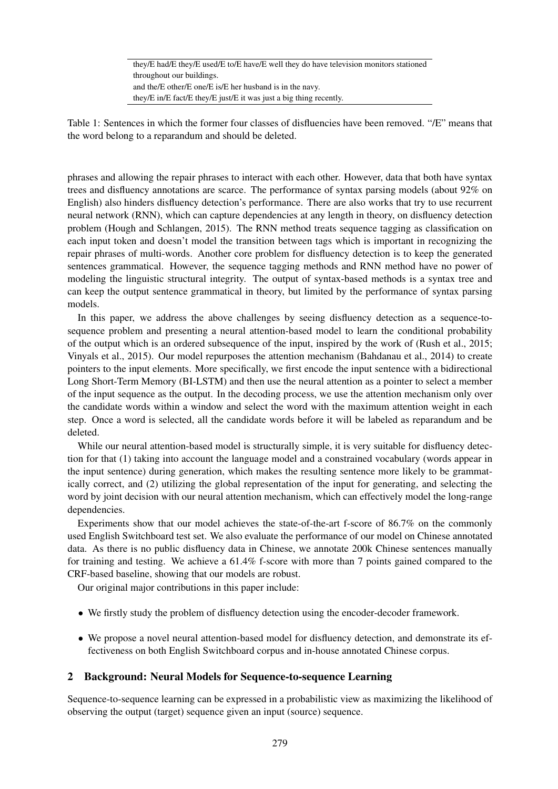they/E had/E they/E used/E to/E have/E well they do have television monitors stationed throughout our buildings. and the/E other/E one/E is/E her husband is in the navy. they/E in/E fact/E they/E just/E it was just a big thing recently.

Table 1: Sentences in which the former four classes of disfluencies have been removed. "/E" means that the word belong to a reparandum and should be deleted.

phrases and allowing the repair phrases to interact with each other. However, data that both have syntax trees and disfluency annotations are scarce. The performance of syntax parsing models (about 92% on English) also hinders disfluency detection's performance. There are also works that try to use recurrent neural network (RNN), which can capture dependencies at any length in theory, on disfluency detection problem (Hough and Schlangen, 2015). The RNN method treats sequence tagging as classification on each input token and doesn't model the transition between tags which is important in recognizing the repair phrases of multi-words. Another core problem for disfluency detection is to keep the generated sentences grammatical. However, the sequence tagging methods and RNN method have no power of modeling the linguistic structural integrity. The output of syntax-based methods is a syntax tree and can keep the output sentence grammatical in theory, but limited by the performance of syntax parsing models.

In this paper, we address the above challenges by seeing disfluency detection as a sequence-tosequence problem and presenting a neural attention-based model to learn the conditional probability of the output which is an ordered subsequence of the input, inspired by the work of (Rush et al., 2015; Vinyals et al., 2015). Our model repurposes the attention mechanism (Bahdanau et al., 2014) to create pointers to the input elements. More specifically, we first encode the input sentence with a bidirectional Long Short-Term Memory (BI-LSTM) and then use the neural attention as a pointer to select a member of the input sequence as the output. In the decoding process, we use the attention mechanism only over the candidate words within a window and select the word with the maximum attention weight in each step. Once a word is selected, all the candidate words before it will be labeled as reparandum and be deleted.

While our neural attention-based model is structurally simple, it is very suitable for disfluency detection for that (1) taking into account the language model and a constrained vocabulary (words appear in the input sentence) during generation, which makes the resulting sentence more likely to be grammatically correct, and (2) utilizing the global representation of the input for generating, and selecting the word by joint decision with our neural attention mechanism, which can effectively model the long-range dependencies.

Experiments show that our model achieves the state-of-the-art f-score of 86.7% on the commonly used English Switchboard test set. We also evaluate the performance of our model on Chinese annotated data. As there is no public disfluency data in Chinese, we annotate 200k Chinese sentences manually for training and testing. We achieve a 61.4% f-score with more than 7 points gained compared to the CRF-based baseline, showing that our models are robust.

Our original major contributions in this paper include:

- We firstly study the problem of disfluency detection using the encoder-decoder framework.
- We propose a novel neural attention-based model for disfluency detection, and demonstrate its effectiveness on both English Switchboard corpus and in-house annotated Chinese corpus.

# 2 Background: Neural Models for Sequence-to-sequence Learning

Sequence-to-sequence learning can be expressed in a probabilistic view as maximizing the likelihood of observing the output (target) sequence given an input (source) sequence.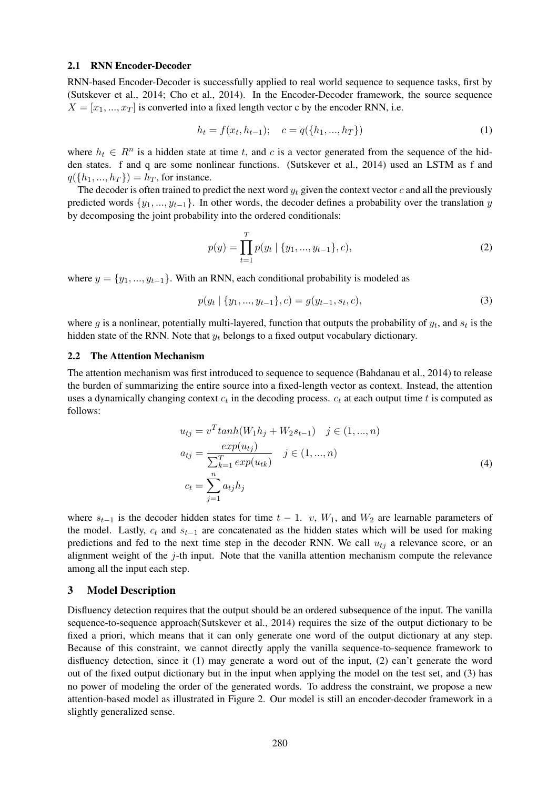#### 2.1 RNN Encoder-Decoder

RNN-based Encoder-Decoder is successfully applied to real world sequence to sequence tasks, first by (Sutskever et al., 2014; Cho et al., 2014). In the Encoder-Decoder framework, the source sequence  $X = [x_1, ..., x_T]$  is converted into a fixed length vector c by the encoder RNN, i.e.

$$
h_t = f(x_t, h_{t-1}); \quad c = q({h_1, ..., h_T})
$$
\n(1)

where  $h_t \in R^n$  is a hidden state at time t, and c is a vector generated from the sequence of the hidden states. f and q are some nonlinear functions. (Sutskever et al., 2014) used an LSTM as f and  $q({h_1, ..., h_T}) = h_T$ , for instance.

The decoder is often trained to predict the next word  $y_t$  given the context vector c and all the previously predicted words  $\{y_1, ..., y_{t-1}\}$ . In other words, the decoder defines a probability over the translation y by decomposing the joint probability into the ordered conditionals:

$$
p(y) = \prod_{t=1}^{T} p(y_t | \{y_1, ..., y_{t-1}\}, c),
$$
\n(2)

where  $y = \{y_1, ..., y_{t-1}\}$ . With an RNN, each conditional probability is modeled as

$$
p(y_t \mid \{y_1, \dots, y_{t-1}\}, c) = g(y_{t-1}, s_t, c),
$$
\n(3)

where g is a nonlinear, potentially multi-layered, function that outputs the probability of  $y_t$ , and  $s_t$  is the hidden state of the RNN. Note that  $y_t$  belongs to a fixed output vocabulary dictionary.

#### 2.2 The Attention Mechanism

The attention mechanism was first introduced to sequence to sequence (Bahdanau et al., 2014) to release the burden of summarizing the entire source into a fixed-length vector as context. Instead, the attention uses a dynamically changing context  $c_t$  in the decoding process.  $c_t$  at each output time t is computed as follows:

$$
u_{tj} = v^T \tanh(W_1 h_j + W_2 s_{t-1}) \quad j \in (1, ..., n)
$$
  
\n
$$
a_{tj} = \frac{\exp(u_{tj})}{\sum_{k=1}^T \exp(u_{tk})} \quad j \in (1, ..., n)
$$
  
\n
$$
c_t = \sum_{j=1}^n a_{tj} h_j
$$
\n(4)

where  $s_{t-1}$  is the decoder hidden states for time  $t - 1$ . v,  $W_1$ , and  $W_2$  are learnable parameters of the model. Lastly,  $c_t$  and  $s_{t-1}$  are concatenated as the hidden states which will be used for making predictions and fed to the next time step in the decoder RNN. We call  $u_{tj}$  a relevance score, or an alignment weight of the  $j$ -th input. Note that the vanilla attention mechanism compute the relevance among all the input each step.

### 3 Model Description

Disfluency detection requires that the output should be an ordered subsequence of the input. The vanilla sequence-to-sequence approach(Sutskever et al., 2014) requires the size of the output dictionary to be fixed a priori, which means that it can only generate one word of the output dictionary at any step. Because of this constraint, we cannot directly apply the vanilla sequence-to-sequence framework to disfluency detection, since it (1) may generate a word out of the input, (2) can't generate the word out of the fixed output dictionary but in the input when applying the model on the test set, and (3) has no power of modeling the order of the generated words. To address the constraint, we propose a new attention-based model as illustrated in Figure 2. Our model is still an encoder-decoder framework in a slightly generalized sense.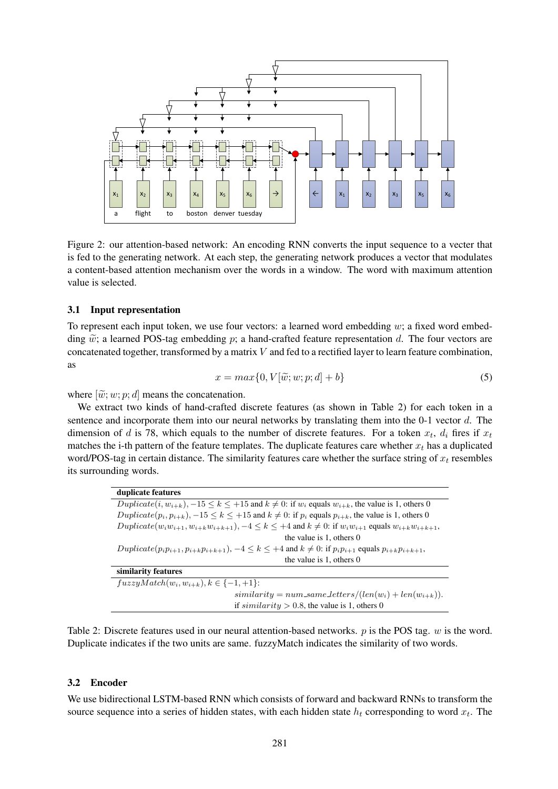

Figure 2: our attention-based network: An encoding RNN converts the input sequence to a vecter that is fed to the generating network. At each step, the generating network produces a vector that modulates a content-based attention mechanism over the words in a window. The word with maximum attention value is selected.

#### 3.1 Input representation

To represent each input token, we use four vectors: a learned word embedding  $w$ ; a fixed word embedding  $\tilde{w}$ ; a learned POS-tag embedding p; a hand-crafted feature representation d. The four vectors are concatenated together, transformed by a matrix  $V$  and fed to a rectified layer to learn feature combination, as

$$
x = max\{0, V[\tilde{w}; w; p; d] + b\}
$$
\n<sup>(5)</sup>

where  $[\tilde{w}; w; p; d]$  means the concatenation.

We extract two kinds of hand-crafted discrete features (as shown in Table 2) for each token in a sentence and incorporate them into our neural networks by translating them into the 0-1 vector d. The dimension of d is 78, which equals to the number of discrete features. For a token  $x_t$ ,  $d_i$  fires if  $x_t$ matches the i-th pattern of the feature templates. The duplicate features care whether  $x_t$  has a duplicated word/POS-tag in certain distance. The similarity features care whether the surface string of  $x_t$  resembles its surrounding words.

| duplicate features                                                                                                             |
|--------------------------------------------------------------------------------------------------------------------------------|
| $Dupiterate(i, w_{i+k}), -15 \le k \le +15$ and $k \ne 0$ : if $w_i$ equals $w_{i+k}$ , the value is 1, others 0               |
| $Dupiterate(p_i, p_{i+k}), -15 \le k \le +15$ and $k \ne 0$ : if $p_i$ equals $p_{i+k}$ , the value is 1, others 0             |
| $Dupiter_{i+1}, w_{i+1}, w_{i+k}, w_{i+k+1}, -4 \leq k \leq +4$ and $k \neq 0$ : if $w_i w_{i+1}$ equals $w_{i+k} w_{i+k+1}$ , |
| the value is $1$ , others $0$                                                                                                  |
| $Duplicate(p_i p_{i+1}, p_{i+k} p_{i+k+1}), -4 \leq k \leq +4$ and $k \neq 0$ : if $p_i p_{i+1}$ equals $p_{i+k} p_{i+k+1}$ ,  |
| the value is 1, others 0                                                                                                       |
| similarity features                                                                                                            |
| $fuzzyMatch(w_i, w_{i+k}), k \in \{-1, +1\}$ :                                                                                 |
| $similarity = num\_same\_letters/(len(w_i) + len(w_{i+k})).$                                                                   |
| if $similarity > 0.8$ , the value is 1, others 0                                                                               |

Table 2: Discrete features used in our neural attention-based networks.  $p$  is the POS tag.  $w$  is the word. Duplicate indicates if the two units are same. fuzzyMatch indicates the similarity of two words.

#### 3.2 Encoder

We use bidirectional LSTM-based RNN which consists of forward and backward RNNs to transform the source sequence into a series of hidden states, with each hidden state  $h_t$  corresponding to word  $x_t$ . The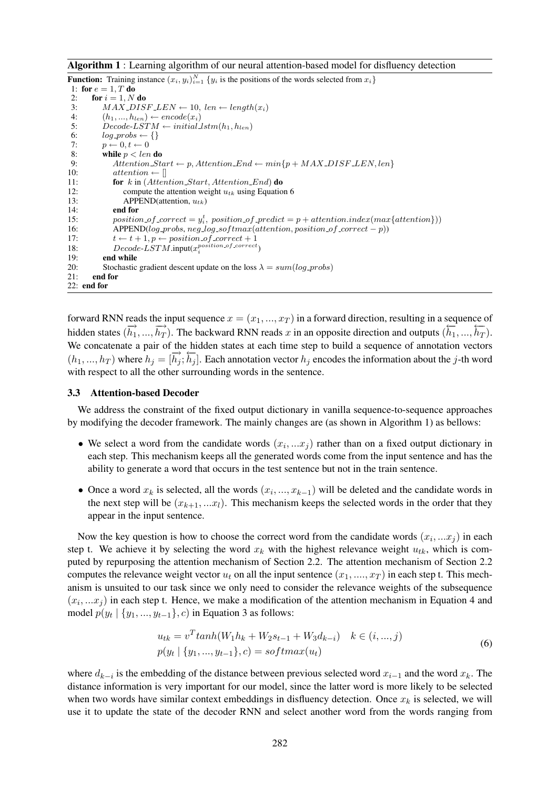Algorithm 1 : Learning algorithm of our neural attention-based model for disfluency detection

**Function:** Training instance  $(x_i, y_i)_{i=1}^N$  { $y_i$  is the positions of the words selected from  $x_i$ } 1: for  $e = 1, T$  do 2: for  $i = 1, N$  do<br>3:  $MAX\_DIS$ 3:  $MAX\_DISF.LEN \leftarrow 10, len \leftarrow length(x_i)$ <br>4:  $(h_1, ..., h_{len}) \leftarrow encode(x_i)$ 4:  $(h_1, ..., h_{len}) \leftarrow encode(x_i)$ <br>5:  $Decode\text{-}LSTM \leftarrow initial$  $Decode-LSTM \leftarrow initial_lstm(h_1, h_{len})$ 6:  $log\_probs \leftarrow \{\}$ 7:  $p \leftarrow 0, t \leftarrow 0$ <br>8: while  $p < len$ 8: while  $p < len$  do<br>9: Attention\_St  $Attention\_Start \leftarrow p,Attention\_End \leftarrow min\{p + MAX\_DIST\_LEN, len\}$ 10:  $attention \leftarrow []$ <br>11: **for** k in (Atten for  $k$  in (Attention\_Start, Attention\_End) do 12: compute the attention weight  $u_{tk}$  using Equation 6<br>13: APPEND(attention,  $u_{tk}$ ) 13: APPEND(attention,  $u_{tk}$ )<br>14: **end for** 14: **end for**  $\frac{15}{15}$ 15: position of correct =  $y_i^t$ , position of predict = p + attention.index(max{attention})) 16: APPEND( $log\_probs$ , neg  $log\_softmax(attention, position\_of\_correct - p)$ ) 17:  $t \leftarrow t + 1, p \leftarrow position\_of\_correct + 1$ 18:  $Decode\text{-}LSTM\text{.input}(x_i^{position\text{-}of\text{-}correct})$ 19: end while 20: Stochastic gradient descent update on the loss  $\lambda = sum(log\_probs)$ 21: end for 22: end for

forward RNN reads the input sequence  $x = (x_1, ..., x_T)$  in a forward direction, resulting in a sequence of hidden states  $(\overrightarrow{h_1}, ..., \overrightarrow{h_T})$ . The backward RNN reads x in an opposite direction and outputs  $(\overleftarrow{h_1}, ..., \overleftarrow{h_T})$ . We concatenate a pair of the hidden states at each time step to build a sequence of annotation vectors (h<sub>1</sub>, ..., h<sub>T</sub>) where  $h_j = [\vec{h}_j; \vec{h}_j]$ . Each annotation vector  $h_j$  encodes the information about the j-th word with respect to all the other surrounding words in the sentence.

#### 3.3 Attention-based Decoder

We address the constraint of the fixed output dictionary in vanilla sequence-to-sequence approaches by modifying the decoder framework. The mainly changes are (as shown in Algorithm 1) as bellows:

- We select a word from the candidate words  $(x_i, ... x_j)$  rather than on a fixed output dictionary in each step. This mechanism keeps all the generated words come from the input sentence and has the ability to generate a word that occurs in the test sentence but not in the train sentence.
- Once a word  $x_k$  is selected, all the words  $(x_i, ..., x_{k-1})$  will be deleted and the candidate words in the next step will be  $(x_{k+1},...x_l)$ . This mechanism keeps the selected words in the order that they appear in the input sentence.

Now the key question is how to choose the correct word from the candidate words  $(x_i, ... x_j)$  in each step t. We achieve it by selecting the word  $x_k$  with the highest relevance weight  $u_{tk}$ , which is computed by repurposing the attention mechanism of Section 2.2. The attention mechanism of Section 2.2 computes the relevance weight vector  $u_t$  on all the input sentence  $(x_1, ..., x_T)$  in each step t. This mechanism is unsuited to our task since we only need to consider the relevance weights of the subsequence  $(x_i, ... x_j)$  in each step t. Hence, we make a modification of the attention mechanism in Equation 4 and model  $p(y_t | \{y_1, ..., y_{t-1}\}, c)$  in Equation 3 as follows:

$$
u_{tk} = v^{T} \tanh(W_{1} h_{k} + W_{2} s_{t-1} + W_{3} d_{k-i}) \quad k \in (i, ..., j)
$$
  
\n
$$
p(y_{t} | \{y_{1}, ..., y_{t-1}\}, c) = softmax(u_{t})
$$
\n(6)

where  $d_{k-i}$  is the embedding of the distance between previous selected word  $x_{i-1}$  and the word  $x_k$ . The distance information is very important for our model, since the latter word is more likely to be selected when two words have similar context embeddings in disfluency detection. Once  $x_k$  is selected, we will use it to update the state of the decoder RNN and select another word from the words ranging from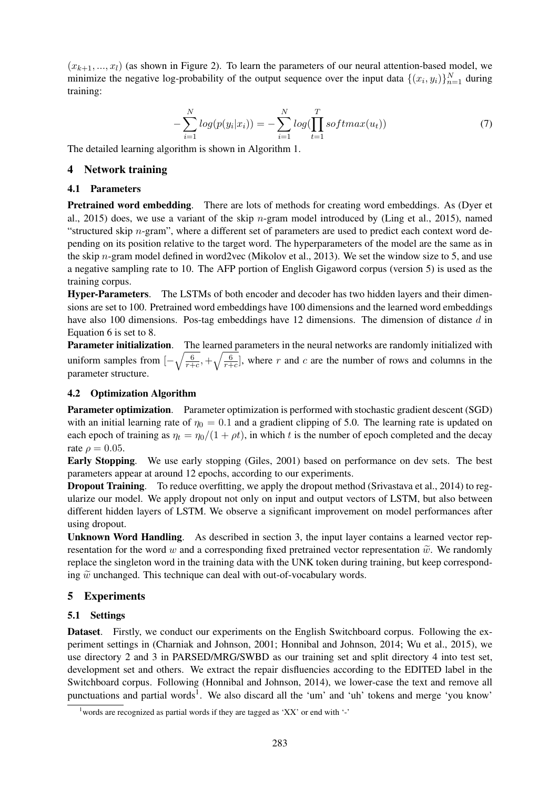$(x_{k+1},...,x_l)$  (as shown in Figure 2). To learn the parameters of our neural attention-based model, we minimize the negative log-probability of the output sequence over the input data  $\{(x_i, y_i)\}_{n=1}^N$  during training:

$$
-\sum_{i=1}^{N} log(p(y_i|x_i)) = -\sum_{i=1}^{N} log(\prod_{t=1}^{T} softmax(u_t))
$$
\n(7)

The detailed learning algorithm is shown in Algorithm 1.

## 4 Network training

#### 4.1 Parameters

Pretrained word embedding. There are lots of methods for creating word embeddings. As (Dyer et al., 2015) does, we use a variant of the skip  $n$ -gram model introduced by (Ling et al., 2015), named "structured skip  $n$ -gram", where a different set of parameters are used to predict each context word depending on its position relative to the target word. The hyperparameters of the model are the same as in the skip n-gram model defined in word2vec (Mikolov et al., 2013). We set the window size to 5, and use a negative sampling rate to 10. The AFP portion of English Gigaword corpus (version 5) is used as the training corpus.

Hyper-Parameters. The LSTMs of both encoder and decoder has two hidden layers and their dimensions are set to 100. Pretrained word embeddings have 100 dimensions and the learned word embeddings have also 100 dimensions. Pos-tag embeddings have 12 dimensions. The dimension of distance d in Equation 6 is set to 8.

Parameter initialization. The learned parameters in the neural networks are randomly initialized with uniform samples from  $\left[-\sqrt{\frac{6}{r+1}}\right]$  $\frac{6}{r+c}$ ,  $+\sqrt{\frac{6}{r+1}}$  $\frac{6}{r+c}$ , where r and c are the number of rows and columns in the parameter structure.

### 4.2 Optimization Algorithm

Parameter optimization. Parameter optimization is performed with stochastic gradient descent (SGD) with an initial learning rate of  $\eta_0 = 0.1$  and a gradient clipping of 5.0. The learning rate is updated on each epoch of training as  $\eta_t = \eta_0/(1 + \rho t)$ , in which t is the number of epoch completed and the decay rate  $\rho = 0.05$ .

Early Stopping. We use early stopping (Giles, 2001) based on performance on dev sets. The best parameters appear at around 12 epochs, according to our experiments.

**Dropout Training.** To reduce overfitting, we apply the dropout method (Srivastava et al., 2014) to regularize our model. We apply dropout not only on input and output vectors of LSTM, but also between different hidden layers of LSTM. We observe a significant improvement on model performances after using dropout.

Unknown Word Handling. As described in section 3, the input layer contains a learned vector representation for the word w and a corresponding fixed pretrained vector representation  $\tilde{w}$ . We randomly replace the singleton word in the training data with the UNK token during training, but keep corresponding  $\tilde{w}$  unchanged. This technique can deal with out-of-vocabulary words.

# 5 Experiments

#### 5.1 Settings

Dataset. Firstly, we conduct our experiments on the English Switchboard corpus. Following the experiment settings in (Charniak and Johnson, 2001; Honnibal and Johnson, 2014; Wu et al., 2015), we use directory 2 and 3 in PARSED/MRG/SWBD as our training set and split directory 4 into test set, development set and others. We extract the repair disfluencies according to the EDITED label in the Switchboard corpus. Following (Honnibal and Johnson, 2014), we lower-case the text and remove all punctuations and partial words<sup>1</sup>. We also discard all the 'um' and 'uh' tokens and merge 'you know'

<sup>&</sup>lt;sup>1</sup> words are recognized as partial words if they are tagged as 'XX' or end with '-'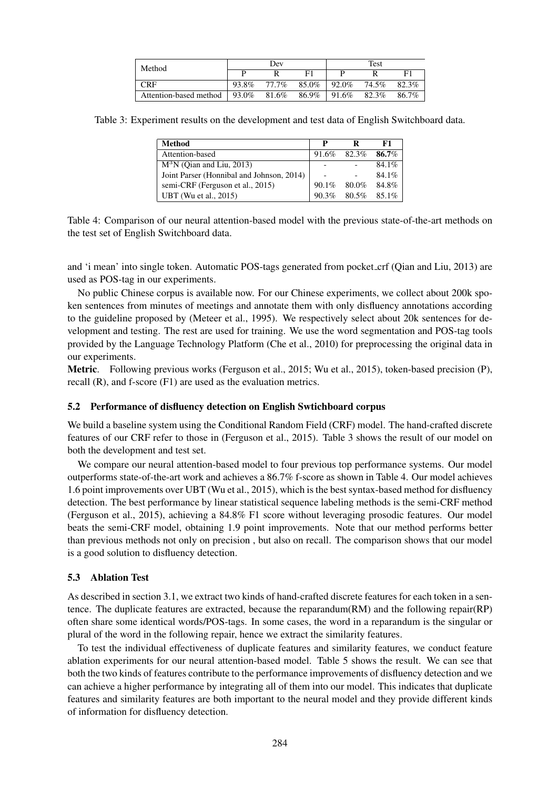| Method                                         | Dev   |       |                  | Test |       |       |
|------------------------------------------------|-------|-------|------------------|------|-------|-------|
|                                                |       |       | F1               |      |       | F1    |
| <b>CRF</b>                                     | 93.8% | 77.7% | $85.0\%$   92.0% |      | 74.5% | 82.3% |
| Attention-based method 93.0% 81.6% 86.9% 91.6% |       |       |                  |      | 82.3% | 86.7% |

Table 3: Experiment results on the development and test data of English Switchboard data.

| <b>Method</b>                             | P        |       | F1       |
|-------------------------------------------|----------|-------|----------|
| Attention-based                           | 91.6%    | 82.3% | 86.7%    |
| $M^3N$ (Oian and Liu, 2013)               |          |       | $84.1\%$ |
| Joint Parser (Honnibal and Johnson, 2014) |          |       | $84.1\%$ |
| semi-CRF (Ferguson et al., 2015)          | $90.1\%$ | 80.0% | 84.8%    |
| UBT (Wu et al., 2015)                     | 90.3%    | 80.5% | 85.1%    |

Table 4: Comparison of our neural attention-based model with the previous state-of-the-art methods on the test set of English Switchboard data.

and 'i mean' into single token. Automatic POS-tags generated from pocket crf (Qian and Liu, 2013) are used as POS-tag in our experiments.

No public Chinese corpus is available now. For our Chinese experiments, we collect about 200k spoken sentences from minutes of meetings and annotate them with only disfluency annotations according to the guideline proposed by (Meteer et al., 1995). We respectively select about 20k sentences for development and testing. The rest are used for training. We use the word segmentation and POS-tag tools provided by the Language Technology Platform (Che et al., 2010) for preprocessing the original data in our experiments.

Metric. Following previous works (Ferguson et al., 2015; Wu et al., 2015), token-based precision (P), recall (R), and f-score (F1) are used as the evaluation metrics.

# 5.2 Performance of disfluency detection on English Swtichboard corpus

We build a baseline system using the Conditional Random Field (CRF) model. The hand-crafted discrete features of our CRF refer to those in (Ferguson et al., 2015). Table 3 shows the result of our model on both the development and test set.

We compare our neural attention-based model to four previous top performance systems. Our model outperforms state-of-the-art work and achieves a 86.7% f-score as shown in Table 4. Our model achieves 1.6 point improvements over UBT (Wu et al., 2015), which is the best syntax-based method for disfluency detection. The best performance by linear statistical sequence labeling methods is the semi-CRF method (Ferguson et al., 2015), achieving a 84.8% F1 score without leveraging prosodic features. Our model beats the semi-CRF model, obtaining 1.9 point improvements. Note that our method performs better than previous methods not only on precision , but also on recall. The comparison shows that our model is a good solution to disfluency detection.

# 5.3 Ablation Test

As described in section 3.1, we extract two kinds of hand-crafted discrete features for each token in a sentence. The duplicate features are extracted, because the reparandum(RM) and the following repair(RP) often share some identical words/POS-tags. In some cases, the word in a reparandum is the singular or plural of the word in the following repair, hence we extract the similarity features.

To test the individual effectiveness of duplicate features and similarity features, we conduct feature ablation experiments for our neural attention-based model. Table 5 shows the result. We can see that both the two kinds of features contribute to the performance improvements of disfluency detection and we can achieve a higher performance by integrating all of them into our model. This indicates that duplicate features and similarity features are both important to the neural model and they provide different kinds of information for disfluency detection.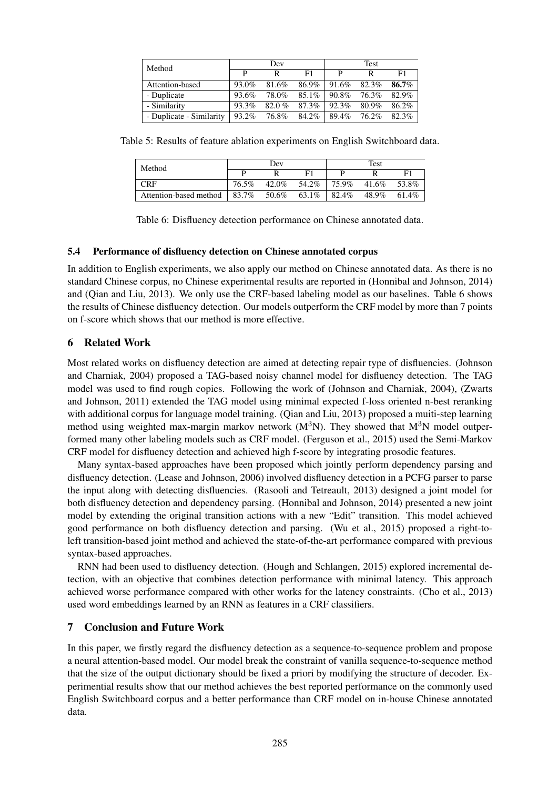| Method                   | Dev         |       |          | <b>Test</b> |             |       |
|--------------------------|-------------|-------|----------|-------------|-------------|-------|
|                          | P           | R     | F1       | P           | R           | F1    |
| Attention-based          | 93.0%       | 81.6% | 86.9%    | 91.6%       | 82.3%       | 86.7% |
| - Duplicate              | 93.6%       | 78.0% | $85.1\%$ | 90.8%       | 76.3%       | 82.9% |
| - Similarity             | 93.3%       | 82.0% | 87.3%    | 92.3%       | 80.9%       | 86.2% |
| - Duplicate - Similarity | 93.2% 76.8% |       | 84.2%    |             | 89.4% 76.2% | 82.3% |

Table 5: Results of feature ablation experiments on English Switchboard data.

| Method                 | Dev   |       |       | Test  |       |       |
|------------------------|-------|-------|-------|-------|-------|-------|
|                        |       |       |       |       |       | F1    |
| CRF                    | 76.5% | 42.0% | 54.2% | 75.9% | 41.6% | 53.8% |
| Attention-based method | 83.7% | 50.6% | 63.1% | 82.4% | 48.9% | 61.4% |

Table 6: Disfluency detection performance on Chinese annotated data.

# 5.4 Performance of disfluency detection on Chinese annotated corpus

In addition to English experiments, we also apply our method on Chinese annotated data. As there is no standard Chinese corpus, no Chinese experimental results are reported in (Honnibal and Johnson, 2014) and (Qian and Liu, 2013). We only use the CRF-based labeling model as our baselines. Table 6 shows the results of Chinese disfluency detection. Our models outperform the CRF model by more than 7 points on f-score which shows that our method is more effective.

# 6 Related Work

Most related works on disfluency detection are aimed at detecting repair type of disfluencies. (Johnson and Charniak, 2004) proposed a TAG-based noisy channel model for disfluency detection. The TAG model was used to find rough copies. Following the work of (Johnson and Charniak, 2004), (Zwarts and Johnson, 2011) extended the TAG model using minimal expected f-loss oriented n-best reranking with additional corpus for language model training. (Qian and Liu, 2013) proposed a muiti-step learning method using weighted max-margin markov network  $(M<sup>3</sup>N)$ . They showed that  $M<sup>3</sup>N$  model outperformed many other labeling models such as CRF model. (Ferguson et al., 2015) used the Semi-Markov CRF model for disfluency detection and achieved high f-score by integrating prosodic features.

Many syntax-based approaches have been proposed which jointly perform dependency parsing and disfluency detection. (Lease and Johnson, 2006) involved disfluency detection in a PCFG parser to parse the input along with detecting disfluencies. (Rasooli and Tetreault, 2013) designed a joint model for both disfluency detection and dependency parsing. (Honnibal and Johnson, 2014) presented a new joint model by extending the original transition actions with a new "Edit" transition. This model achieved good performance on both disfluency detection and parsing. (Wu et al., 2015) proposed a right-toleft transition-based joint method and achieved the state-of-the-art performance compared with previous syntax-based approaches.

RNN had been used to disfluency detection. (Hough and Schlangen, 2015) explored incremental detection, with an objective that combines detection performance with minimal latency. This approach achieved worse performance compared with other works for the latency constraints. (Cho et al., 2013) used word embeddings learned by an RNN as features in a CRF classifiers.

# 7 Conclusion and Future Work

In this paper, we firstly regard the disfluency detection as a sequence-to-sequence problem and propose a neural attention-based model. Our model break the constraint of vanilla sequence-to-sequence method that the size of the output dictionary should be fixed a priori by modifying the structure of decoder. Experimential results show that our method achieves the best reported performance on the commonly used English Switchboard corpus and a better performance than CRF model on in-house Chinese annotated data.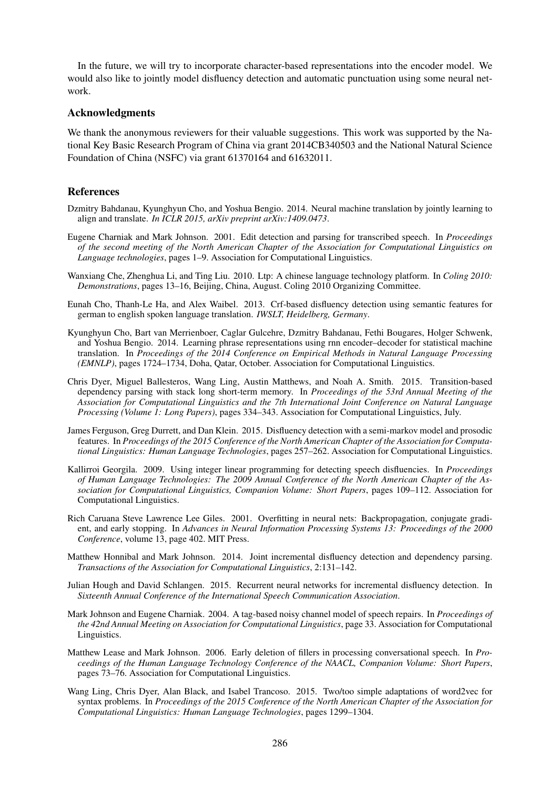In the future, we will try to incorporate character-based representations into the encoder model. We would also like to jointly model disfluency detection and automatic punctuation using some neural network.

#### Acknowledgments

We thank the anonymous reviewers for their valuable suggestions. This work was supported by the National Key Basic Research Program of China via grant 2014CB340503 and the National Natural Science Foundation of China (NSFC) via grant 61370164 and 61632011.

#### References

- Dzmitry Bahdanau, Kyunghyun Cho, and Yoshua Bengio. 2014. Neural machine translation by jointly learning to align and translate. *In ICLR 2015, arXiv preprint arXiv:1409.0473*.
- Eugene Charniak and Mark Johnson. 2001. Edit detection and parsing for transcribed speech. In *Proceedings of the second meeting of the North American Chapter of the Association for Computational Linguistics on Language technologies*, pages 1–9. Association for Computational Linguistics.
- Wanxiang Che, Zhenghua Li, and Ting Liu. 2010. Ltp: A chinese language technology platform. In *Coling 2010: Demonstrations*, pages 13–16, Beijing, China, August. Coling 2010 Organizing Committee.
- Eunah Cho, Thanh-Le Ha, and Alex Waibel. 2013. Crf-based disfluency detection using semantic features for german to english spoken language translation. *IWSLT, Heidelberg, Germany*.
- Kyunghyun Cho, Bart van Merrienboer, Caglar Gulcehre, Dzmitry Bahdanau, Fethi Bougares, Holger Schwenk, and Yoshua Bengio. 2014. Learning phrase representations using rnn encoder–decoder for statistical machine translation. In *Proceedings of the 2014 Conference on Empirical Methods in Natural Language Processing (EMNLP)*, pages 1724–1734, Doha, Qatar, October. Association for Computational Linguistics.
- Chris Dyer, Miguel Ballesteros, Wang Ling, Austin Matthews, and Noah A. Smith. 2015. Transition-based dependency parsing with stack long short-term memory. In *Proceedings of the 53rd Annual Meeting of the Association for Computational Linguistics and the 7th International Joint Conference on Natural Language Processing (Volume 1: Long Papers)*, pages 334–343. Association for Computational Linguistics, July.
- James Ferguson, Greg Durrett, and Dan Klein. 2015. Disfluency detection with a semi-markov model and prosodic features. In *Proceedings of the 2015 Conference of the North American Chapter of the Association for Computational Linguistics: Human Language Technologies*, pages 257–262. Association for Computational Linguistics.
- Kallirroi Georgila. 2009. Using integer linear programming for detecting speech disfluencies. In *Proceedings of Human Language Technologies: The 2009 Annual Conference of the North American Chapter of the Association for Computational Linguistics, Companion Volume: Short Papers*, pages 109–112. Association for Computational Linguistics.
- Rich Caruana Steve Lawrence Lee Giles. 2001. Overfitting in neural nets: Backpropagation, conjugate gradient, and early stopping. In *Advances in Neural Information Processing Systems 13: Proceedings of the 2000 Conference*, volume 13, page 402. MIT Press.
- Matthew Honnibal and Mark Johnson. 2014. Joint incremental disfluency detection and dependency parsing. *Transactions of the Association for Computational Linguistics*, 2:131–142.
- Julian Hough and David Schlangen. 2015. Recurrent neural networks for incremental disfluency detection. In *Sixteenth Annual Conference of the International Speech Communication Association*.
- Mark Johnson and Eugene Charniak. 2004. A tag-based noisy channel model of speech repairs. In *Proceedings of the 42nd Annual Meeting on Association for Computational Linguistics*, page 33. Association for Computational Linguistics.
- Matthew Lease and Mark Johnson. 2006. Early deletion of fillers in processing conversational speech. In *Proceedings of the Human Language Technology Conference of the NAACL, Companion Volume: Short Papers*, pages 73–76. Association for Computational Linguistics.
- Wang Ling, Chris Dyer, Alan Black, and Isabel Trancoso. 2015. Two/too simple adaptations of word2vec for syntax problems. In *Proceedings of the 2015 Conference of the North American Chapter of the Association for Computational Linguistics: Human Language Technologies*, pages 1299–1304.